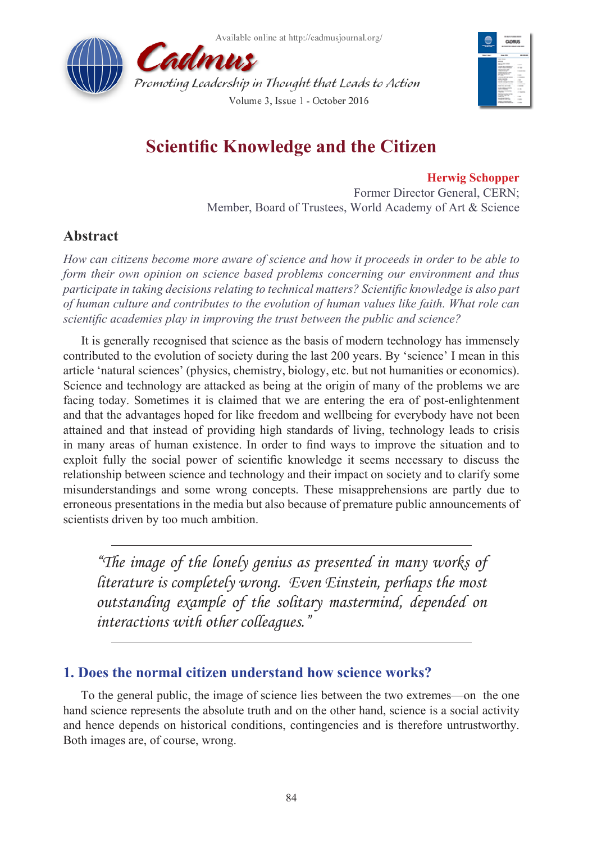



# **Scientific Knowledge and the Citizen**

#### **Herwig Schopper**

Former Director General, CERN; Member, Board of Trustees, World Academy of Art & Science

# **Abstract**

*How can citizens become more aware of science and how it proceeds in order to be able to form their own opinion on science based problems concerning our environment and thus participate in taking decisions relating to technical matters? Scientific knowledge is also part of human culture and contributes to the evolution of human values like faith. What role can scientific academies play in improving the trust between the public and science?*

It is generally recognised that science as the basis of modern technology has immensely contributed to the evolution of society during the last 200 years. By 'science' I mean in this article 'natural sciences' (physics, chemistry, biology, etc. but not humanities or economics). Science and technology are attacked as being at the origin of many of the problems we are facing today. Sometimes it is claimed that we are entering the era of post-enlightenment and that the advantages hoped for like freedom and wellbeing for everybody have not been attained and that instead of providing high standards of living, technology leads to crisis in many areas of human existence. In order to find ways to improve the situation and to exploit fully the social power of scientific knowledge it seems necessary to discuss the relationship between science and technology and their impact on society and to clarify some misunderstandings and some wrong concepts. These misapprehensions are partly due to erroneous presentations in the media but also because of premature public announcements of scientists driven by too much ambition.

*"The image of the lonely genius as presented in many works of literature is completely wrong. Even Einstein, perhaps the most outstanding example of the solitary mastermind, depended on interactions with other colleagues."*

# **1. Does the normal citizen understand how science works?**

To the general public, the image of science lies between the two extremes—on the one hand science represents the absolute truth and on the other hand, science is a social activity and hence depends on historical conditions, contingencies and is therefore untrustworthy. Both images are, of course, wrong.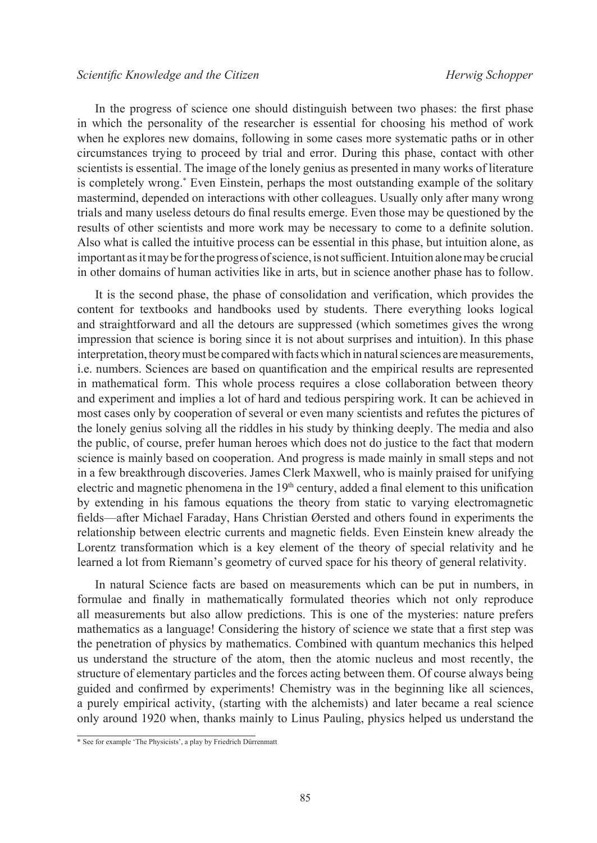In the progress of science one should distinguish between two phases: the first phase in which the personality of the researcher is essential for choosing his method of work when he explores new domains, following in some cases more systematic paths or in other circumstances trying to proceed by trial and error. During this phase, contact with other scientists is essential. The image of the lonely genius as presented in many works of literature is completely wrong.\* Even Einstein, perhaps the most outstanding example of the solitary mastermind, depended on interactions with other colleagues. Usually only after many wrong trials and many useless detours do final results emerge. Even those may be questioned by the results of other scientists and more work may be necessary to come to a definite solution. Also what is called the intuitive process can be essential in this phase, but intuition alone, as important as it may be for the progress of science, is not sufficient. Intuition alone may be crucial in other domains of human activities like in arts, but in science another phase has to follow.

It is the second phase, the phase of consolidation and verification, which provides the content for textbooks and handbooks used by students. There everything looks logical and straightforward and all the detours are suppressed (which sometimes gives the wrong impression that science is boring since it is not about surprises and intuition). In this phase interpretation, theory must be compared with facts which in natural sciences are measurements, i.e. numbers. Sciences are based on quantification and the empirical results are represented in mathematical form. This whole process requires a close collaboration between theory and experiment and implies a lot of hard and tedious perspiring work. It can be achieved in most cases only by cooperation of several or even many scientists and refutes the pictures of the lonely genius solving all the riddles in his study by thinking deeply. The media and also the public, of course, prefer human heroes which does not do justice to the fact that modern science is mainly based on cooperation. And progress is made mainly in small steps and not in a few breakthrough discoveries. James Clerk Maxwell, who is mainly praised for unifying electric and magnetic phenomena in the  $19<sup>th</sup>$  century, added a final element to this unification by extending in his famous equations the theory from static to varying electromagnetic fields—after [Michael Faraday](https://de.wikipedia.org/wiki/Michael_Faraday), Hans Christian Øersted and others found in experiments the relationship between electric currents and magnetic fields. Even Einstein knew already the Lorentz transformation which is a key element of the theory of special relativity and he learned a lot from Riemann's geometry of curved space for his theory of general relativity.

In natural Science facts are based on measurements which can be put in numbers, in formulae and finally in mathematically formulated theories which not only reproduce all measurements but also allow predictions. This is one of the mysteries: nature prefers mathematics as a language! Considering the history of science we state that a first step was the penetration of physics by mathematics. Combined with quantum mechanics this helped us understand the structure of the atom, then the atomic nucleus and most recently, the structure of elementary particles and the forces acting between them. Of course always being guided and confirmed by experiments! Chemistry was in the beginning like all sciences, a purely empirical activity, (starting with the alchemists) and later became a real science only around 1920 when, thanks mainly to Linus Pauling, physics helped us understand the

<sup>\*</sup> See for example 'The Physicists', a play by Friedrich Dürrenmatt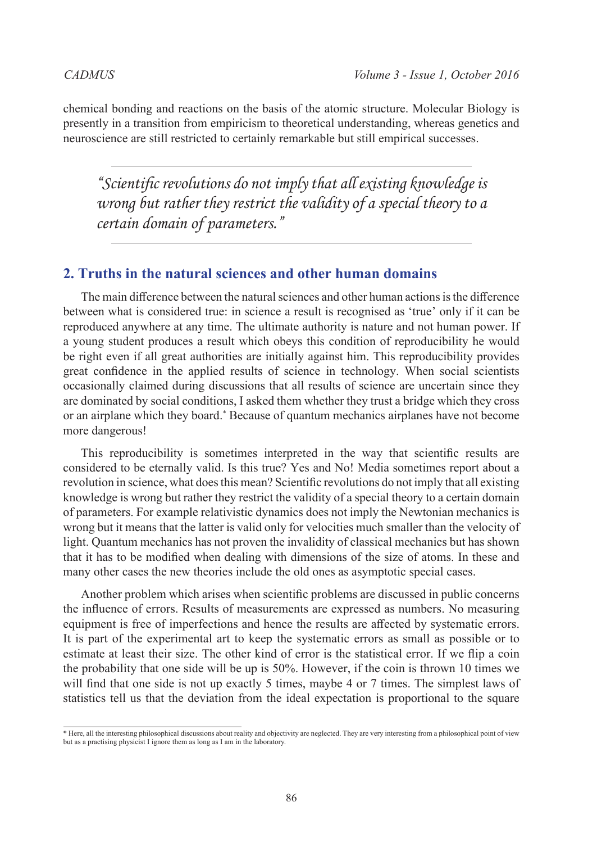chemical bonding and reactions on the basis of the atomic structure. Molecular Biology is presently in a transition from empiricism to theoretical understanding, whereas genetics and neuroscience are still restricted to certainly remarkable but still empirical successes.

*"Scientific revolutions do not imply that all existing knowledge is wrong but rather they restrict the validity of a special theory to a certain domain of parameters."*

### **2. Truths in the natural sciences and other human domains**

The main difference between the natural sciences and other human actions is the difference between what is considered true: in science a result is recognised as 'true' only if it can be reproduced anywhere at any time. The ultimate authority is nature and not human power. If a young student produces a result which obeys this condition of reproducibility he would be right even if all great authorities are initially against him. This reproducibility provides great confidence in the applied results of science in technology. When social scientists occasionally claimed during discussions that all results of science are uncertain since they are dominated by social conditions, I asked them whether they trust a bridge which they cross or an airplane which they board.\* Because of quantum mechanics airplanes have not become more dangerous!

This reproducibility is sometimes interpreted in the way that scientific results are considered to be eternally valid. Is this true? Yes and No! Media sometimes report about a revolution in science, what does this mean? Scientific revolutions do not imply that all existing knowledge is wrong but rather they restrict the validity of a special theory to a certain domain of parameters. For example relativistic dynamics does not imply the Newtonian mechanics is wrong but it means that the latter is valid only for velocities much smaller than the velocity of light. Quantum mechanics has not proven the invalidity of classical mechanics but has shown that it has to be modified when dealing with dimensions of the size of atoms. In these and many other cases the new theories include the old ones as asymptotic special cases.

Another problem which arises when scientific problems are discussed in public concerns the influence of errors. Results of measurements are expressed as numbers. No measuring equipment is free of imperfections and hence the results are affected by systematic errors. It is part of the experimental art to keep the systematic errors as small as possible or to estimate at least their size. The other kind of error is the statistical error. If we flip a coin the probability that one side will be up is 50%. However, if the coin is thrown 10 times we will find that one side is not up exactly 5 times, maybe 4 or 7 times. The simplest laws of statistics tell us that the deviation from the ideal expectation is proportional to the square

<sup>\*</sup> Here, all the interesting philosophical discussions about reality and objectivity are neglected. They are very interesting from a philosophical point of view but as a practising physicist I ignore them as long as I am in the laboratory.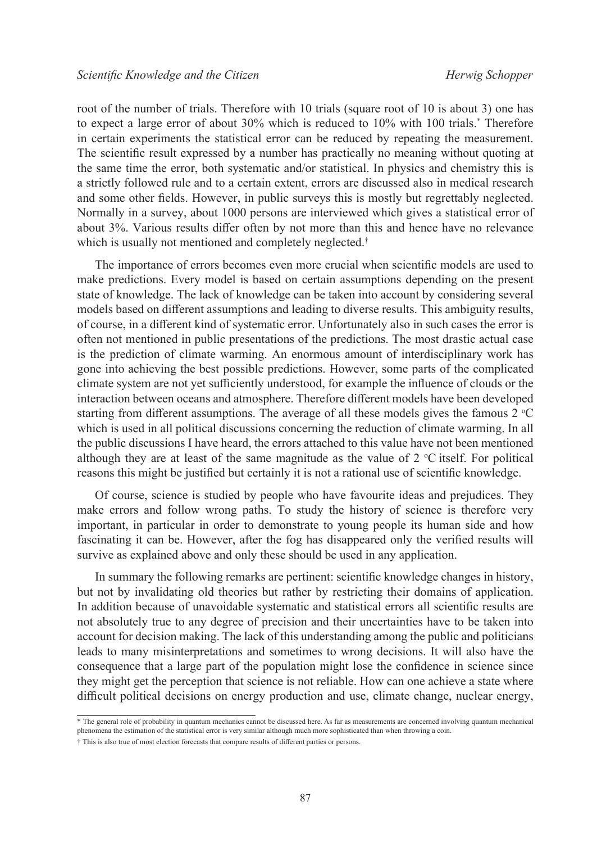root of the number of trials. Therefore with 10 trials (square root of 10 is about 3) one has to expect a large error of about 30% which is reduced to 10% with 100 trials.\* Therefore in certain experiments the statistical error can be reduced by repeating the measurement. The scientific result expressed by a number has practically no meaning without quoting at the same time the error, both systematic and/or statistical. In physics and chemistry this is a strictly followed rule and to a certain extent, errors are discussed also in medical research and some other fields. However, in public surveys this is mostly but regrettably neglected. Normally in a survey, about 1000 persons are interviewed which gives a statistical error of about 3%. Various results differ often by not more than this and hence have no relevance which is usually not mentioned and completely neglected.†

The importance of errors becomes even more crucial when scientific models are used to make predictions. Every model is based on certain assumptions depending on the present state of knowledge. The lack of knowledge can be taken into account by considering several models based on different assumptions and leading to diverse results. This ambiguity results, of course, in a different kind of systematic error. Unfortunately also in such cases the error is often not mentioned in public presentations of the predictions. The most drastic actual case is the prediction of climate warming. An enormous amount of interdisciplinary work has gone into achieving the best possible predictions. However, some parts of the complicated climate system are not yet sufficiently understood, for example the influence of clouds or the interaction between oceans and atmosphere. Therefore different models have been developed starting from different assumptions. The average of all these models gives the famous  $2^{\circ}C$ which is used in all political discussions concerning the reduction of climate warming. In all the public discussions I have heard, the errors attached to this value have not been mentioned although they are at least of the same magnitude as the value of  $2 \text{ °C}$  itself. For political reasons this might be justified but certainly it is not a rational use of scientific knowledge.

Of course, science is studied by people who have favourite ideas and prejudices. They make errors and follow wrong paths. To study the history of science is therefore very important, in particular in order to demonstrate to young people its human side and how fascinating it can be. However, after the fog has disappeared only the verified results will survive as explained above and only these should be used in any application.

In summary the following remarks are pertinent: scientific knowledge changes in history, but not by invalidating old theories but rather by restricting their domains of application. In addition because of unavoidable systematic and statistical errors all scientific results are not absolutely true to any degree of precision and their uncertainties have to be taken into account for decision making. The lack of this understanding among the public and politicians leads to many misinterpretations and sometimes to wrong decisions. It will also have the consequence that a large part of the population might lose the confidence in science since they might get the perception that science is not reliable. How can one achieve a state where difficult political decisions on energy production and use, climate change, nuclear energy,

<sup>\*</sup> The general role of probability in quantum mechanics cannot be discussed here. As far as measurements are concerned involving quantum mechanical phenomena the estimation of the statistical error is very similar although much more sophisticated than when throwing a coin.

<sup>†</sup> This is also true of most election forecasts that compare results of different parties or persons.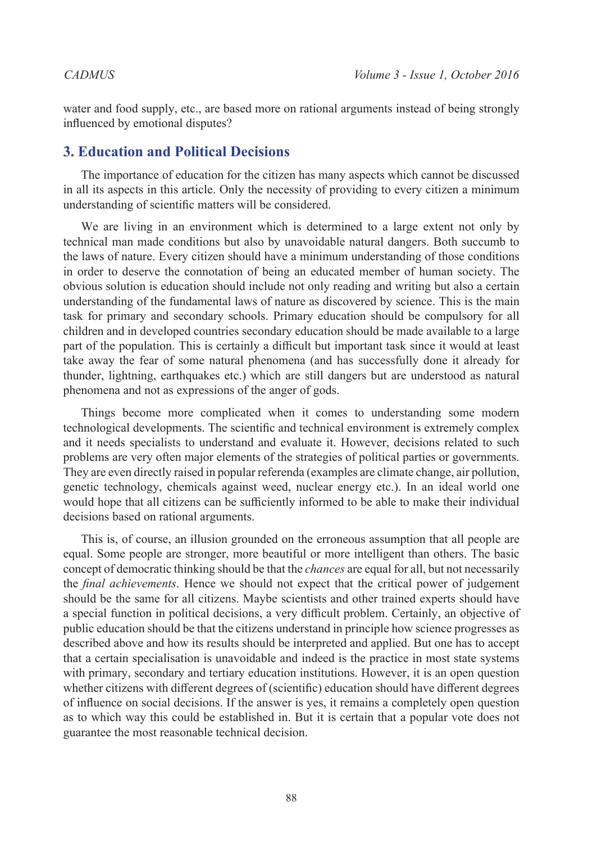water and food supply, etc., are based more on rational arguments instead of being strongly influenced by emotional disputes?

# **3. Education and Political Decisions**

The importance of education for the citizen has many aspects which cannot be discussed in all its aspects in this article. Only the necessity of providing to every citizen a minimum understanding of scientific matters will be considered.

We are living in an environment which is determined to a large extent not only by technical man made conditions but also by unavoidable natural dangers. Both succumb to the laws of nature. Every citizen should have a minimum understanding of those conditions in order to deserve the connotation of being an educated member of human society. The obvious solution is education should include not only reading and writing but also a certain understanding of the fundamental laws of nature as discovered by science. This is the main task for primary and secondary schools. Primary education should be compulsory for all children and in developed countries secondary education should be made available to a large part of the population. This is certainly a difficult but important task since it would at least take away the fear of some natural phenomena (and has successfully done it already for thunder, lightning, earthquakes etc.) which are still dangers but are understood as natural phenomena and not as expressions of the anger of gods.

Things become more complicated when it comes to understanding some modern technological developments. The scientific and technical environment is extremely complex and it needs specialists to understand and evaluate it. However, decisions related to such problems are very often major elements of the strategies of political parties or governments. They are even directly raised in popular referenda (examples are climate change, air pollution, genetic technology, chemicals against weed, nuclear energy etc.). In an ideal world one would hope that all citizens can be sufficiently informed to be able to make their individual decisions based on rational arguments.

This is, of course, an illusion grounded on the erroneous assumption that all people are equal. Some people are stronger, more beautiful or more intelligent than others. The basic concept of democratic thinking should be that the *chances* are equal for all, but not necessarily the *final achievements*. Hence we should not expect that the critical power of judgement should be the same for all citizens. Maybe scientists and other trained experts should have a special function in political decisions, a very difficult problem. Certainly, an objective of public education should be that the citizens understand in principle how science progresses as described above and how its results should be interpreted and applied. But one has to accept that a certain specialisation is unavoidable and indeed is the practice in most state systems with primary, secondary and tertiary education institutions. However, it is an open question whether citizens with different degrees of (scientific) education should have different degrees of influence on social decisions. If the answer is yes, it remains a completely open question as to which way this could be established in. But it is certain that a popular vote does not guarantee the most reasonable technical decision.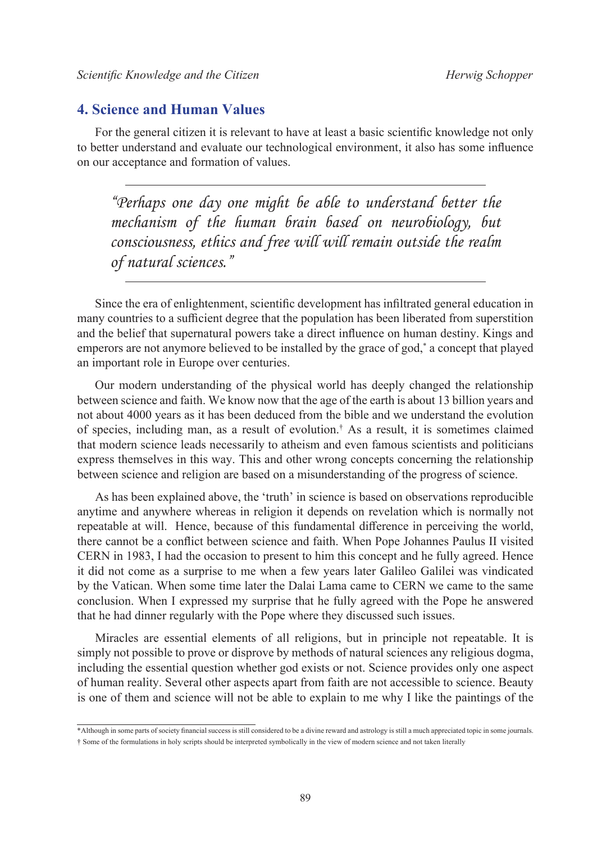## **4. Science and Human Values**

For the general citizen it is relevant to have at least a basic scientific knowledge not only to better understand and evaluate our technological environment, it also has some influence on our acceptance and formation of values.

*"Perhaps one day one might be able to understand better the mechanism of the human brain based on neurobiology, but consciousness, ethics and free will will remain outside the realm of natural sciences."*

Since the era of enlightenment, scientific development has infiltrated general education in many countries to a sufficient degree that the population has been liberated from superstition and the belief that supernatural powers take a direct influence on human destiny. Kings and emperors are not anymore believed to be installed by the grace of god,\* a concept that played an important role in Europe over centuries.

Our modern understanding of the physical world has deeply changed the relationship between science and faith. We know now that the age of the earth is about 13 billion years and not about 4000 years as it has been deduced from the bible and we understand the evolution of species, including man, as a result of evolution.† As a result, it is sometimes claimed that modern science leads necessarily to atheism and even famous scientists and politicians express themselves in this way. This and other wrong concepts concerning the relationship between science and religion are based on a misunderstanding of the progress of science.

As has been explained above, the 'truth' in science is based on observations reproducible anytime and anywhere whereas in religion it depends on revelation which is normally not repeatable at will. Hence, because of this fundamental difference in perceiving the world, there cannot be a conflict between science and faith. When Pope Johannes Paulus II visited CERN in 1983, I had the occasion to present to him this concept and he fully agreed. Hence it did not come as a surprise to me when a few years later Galileo Galilei was vindicated by the Vatican. When some time later the Dalai Lama came to CERN we came to the same conclusion. When I expressed my surprise that he fully agreed with the Pope he answered that he had dinner regularly with the Pope where they discussed such issues.

Miracles are essential elements of all religions, but in principle not repeatable. It is simply not possible to prove or disprove by methods of natural sciences any religious dogma, including the essential question whether god exists or not. Science provides only one aspect of human reality. Several other aspects apart from faith are not accessible to science. Beauty is one of them and science will not be able to explain to me why I like the paintings of the

<sup>\*</sup>Although in some parts of society financial success is still considered to be a divine reward and astrology is still a much appreciated topic in some journals. † Some of the formulations in holy scripts should be interpreted symbolically in the view of modern science and not taken literally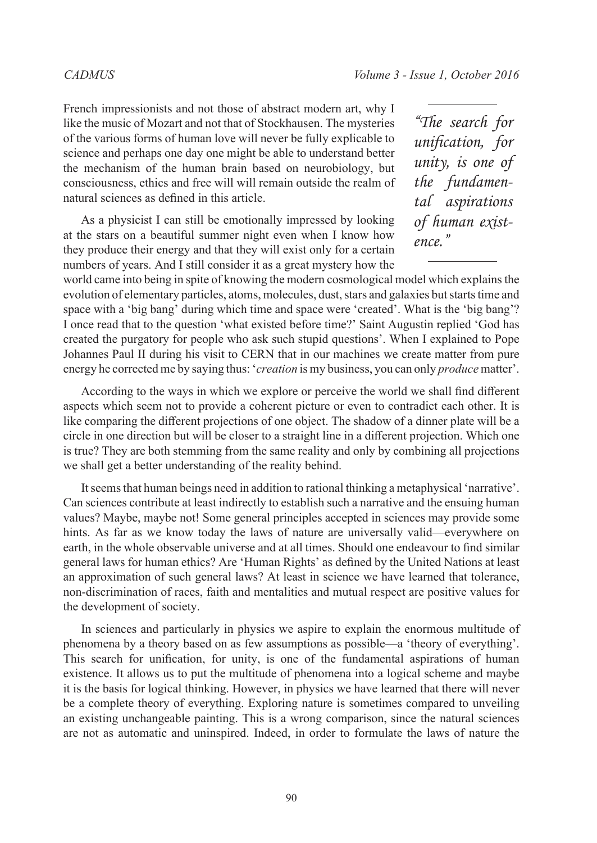French impressionists and not those of abstract modern art, why I like the music of Mozart and not that of Stockhausen. The mysteries of the various forms of human love will never be fully explicable to science and perhaps one day one might be able to understand better the mechanism of the human brain based on neurobiology, but consciousness, ethics and free will will remain outside the realm of natural sciences as defined in this article.

As a physicist I can still be emotionally impressed by looking at the stars on a beautiful summer night even when I know how they produce their energy and that they will exist only for a certain numbers of years. And I still consider it as a great mystery how the

*"The search for unification, for unity, is one of the fundamental aspirations of human existence."*

world came into being in spite of knowing the modern cosmological model which explains the evolution of elementary particles, atoms, molecules, dust, stars and galaxies but starts time and space with a 'big bang' during which time and space were 'created'. What is the 'big bang'? I once read that to the question 'what existed before time?' Saint Augustin replied 'God has created the purgatory for people who ask such stupid questions'. When I explained to Pope Johannes Paul II during his visit to CERN that in our machines we create matter from pure energy he corrected me by saying thus: '*creation* is my business, you can only *produce* matter'.

According to the ways in which we explore or perceive the world we shall find different aspects which seem not to provide a coherent picture or even to contradict each other. It is like comparing the different projections of one object. The shadow of a dinner plate will be a circle in one direction but will be closer to a straight line in a different projection. Which one is true? They are both stemming from the same reality and only by combining all projections we shall get a better understanding of the reality behind.

It seems that human beings need in addition to rational thinking a metaphysical 'narrative'. Can sciences contribute at least indirectly to establish such a narrative and the ensuing human values? Maybe, maybe not! Some general principles accepted in sciences may provide some hints. As far as we know today the laws of nature are universally valid—everywhere on earth, in the whole observable universe and at all times. Should one endeavour to find similar general laws for human ethics? Are 'Human Rights' as defined by the United Nations at least an approximation of such general laws? At least in science we have learned that tolerance, non-discrimination of races, faith and mentalities and mutual respect are positive values for the development of society.

In sciences and particularly in physics we aspire to explain the enormous multitude of phenomena by a theory based on as few assumptions as possible—a 'theory of everything'. This search for unification, for unity, is one of the fundamental aspirations of human existence. It allows us to put the multitude of phenomena into a logical scheme and maybe it is the basis for logical thinking. However, in physics we have learned that there will never be a complete theory of everything. Exploring nature is sometimes compared to unveiling an existing unchangeable painting. This is a wrong comparison, since the natural sciences are not as automatic and uninspired. Indeed, in order to formulate the laws of nature the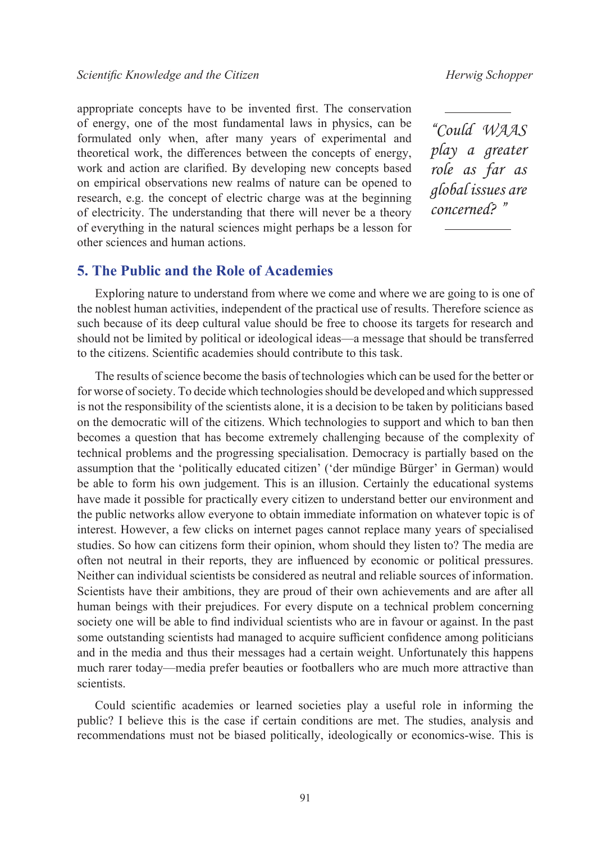appropriate concepts have to be invented first. The conservation of energy, one of the most fundamental laws in physics, can be formulated only when, after many years of experimental and theoretical work, the differences between the concepts of energy, work and action are clarified. By developing new concepts based on empirical observations new realms of nature can be opened to research, e.g. the concept of electric charge was at the beginning of electricity. The understanding that there will never be a theory of everything in the natural sciences might perhaps be a lesson for other sciences and human actions.

*"Could WAAS play a greater role as far as global issues are concerned? "*

### **5. The Public and the Role of Academies**

Exploring nature to understand from where we come and where we are going to is one of the noblest human activities, independent of the practical use of results. Therefore science as such because of its deep cultural value should be free to choose its targets for research and should not be limited by political or ideological ideas—a message that should be transferred to the citizens. Scientific academies should contribute to this task.

The results of science become the basis of technologies which can be used for the better or for worse of society. To decide which technologies should be developed and which suppressed is not the responsibility of the scientists alone, it is a decision to be taken by politicians based on the democratic will of the citizens. Which technologies to support and which to ban then becomes a question that has become extremely challenging because of the complexity of technical problems and the progressing specialisation. Democracy is partially based on the assumption that the 'politically educated citizen' ('der mündige Bürger' in German) would be able to form his own judgement. This is an illusion. Certainly the educational systems have made it possible for practically every citizen to understand better our environment and the public networks allow everyone to obtain immediate information on whatever topic is of interest. However, a few clicks on internet pages cannot replace many years of specialised studies. So how can citizens form their opinion, whom should they listen to? The media are often not neutral in their reports, they are influenced by economic or political pressures. Neither can individual scientists be considered as neutral and reliable sources of information. Scientists have their ambitions, they are proud of their own achievements and are after all human beings with their prejudices. For every dispute on a technical problem concerning society one will be able to find individual scientists who are in favour or against. In the past some outstanding scientists had managed to acquire sufficient confidence among politicians and in the media and thus their messages had a certain weight. Unfortunately this happens much rarer today—media prefer beauties or footballers who are much more attractive than scientists.

Could scientific academies or learned societies play a useful role in informing the public? I believe this is the case if certain conditions are met. The studies, analysis and recommendations must not be biased politically, ideologically or economics-wise. This is